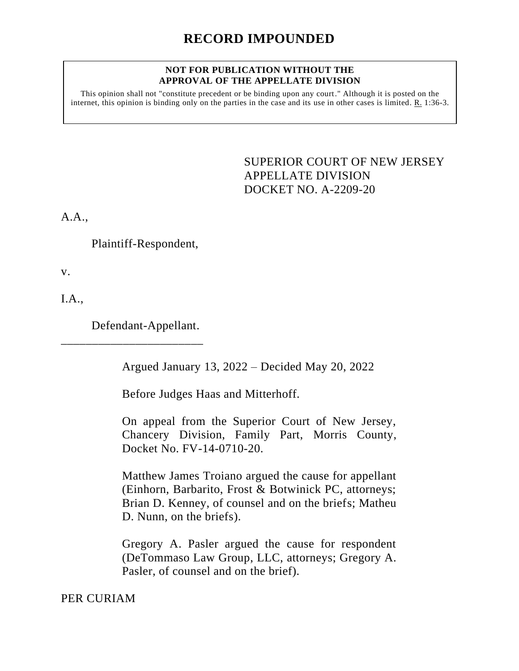## **NOT FOR PUBLICATION WITHOUT THE APPROVAL OF THE APPELLATE DIVISION**

This opinion shall not "constitute precedent or be binding upon any court." Although it is posted on the internet, this opinion is binding only on the parties in the case and its use in other cases is limited.  $R_1$  1:36-3.

> <span id="page-0-0"></span>SUPERIOR COURT OF NEW JERSEY APPELLATE DIVISION DOCKET NO. A-2209-20

A.A.,

Plaintiff-Respondent,

v.

I.A.,

Defendant-Appellant.

\_\_\_\_\_\_\_\_\_\_\_\_\_\_\_\_\_\_\_\_\_\_\_

Argued January 13, 2022 – Decided May 20, 2022

Before Judges Haas and Mitterhoff.

On appeal from the Superior Court of New Jersey, Chancery Division, Family Part, Morris County, Docket No. FV-14-0710-20.

Matthew James Troiano argued the cause for appellant (Einhorn, Barbarito, Frost & Botwinick PC, attorneys; Brian D. Kenney, of counsel and on the briefs; Matheu D. Nunn, on the briefs).

Gregory A. Pasler argued the cause for respondent (DeTommaso Law Group, LLC, attorneys; Gregory A. Pasler, of counsel and on the brief).

PER CURIAM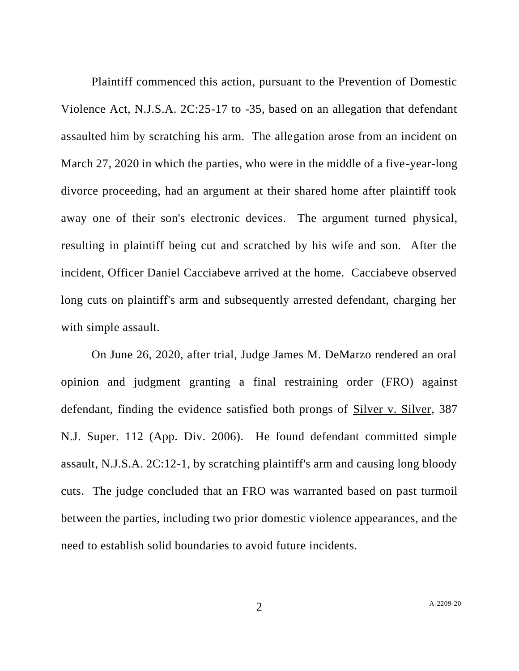Plaintiff commenced this action, pursuant to the Prevention of Domestic Violence Act, N.J.S.A. 2C:25-17 to -35, based on an allegation that defendant assaulted him by scratching his arm. The allegation arose from an incident on March 27, 2020 in which the parties, who were in the middle of a five-year-long divorce proceeding, had an argument at their shared home after plaintiff took away one of their son's electronic devices. The argument turned physical, resulting in plaintiff being cut and scratched by his wife and son. After the incident, Officer Daniel Cacciabeve arrived at the home. Cacciabeve observed long cuts on plaintiff's arm and subsequently arrested defendant, charging her with simple assault.

On June 26, 2020, after trial, Judge James M. DeMarzo rendered an oral opinion and judgment granting a final restraining order (FRO) against defendant, finding the evidence satisfied both prongs of Silver v. Silver, 387 N.J. Super. 112 (App. Div. 2006). He found defendant committed simple assault, N.J.S.A. 2C:12-1, by scratching plaintiff's arm and causing long bloody cuts. The judge concluded that an FRO was warranted based on past turmoil between the parties, including two prior domestic violence appearances, and the need to establish solid boundaries to avoid future incidents.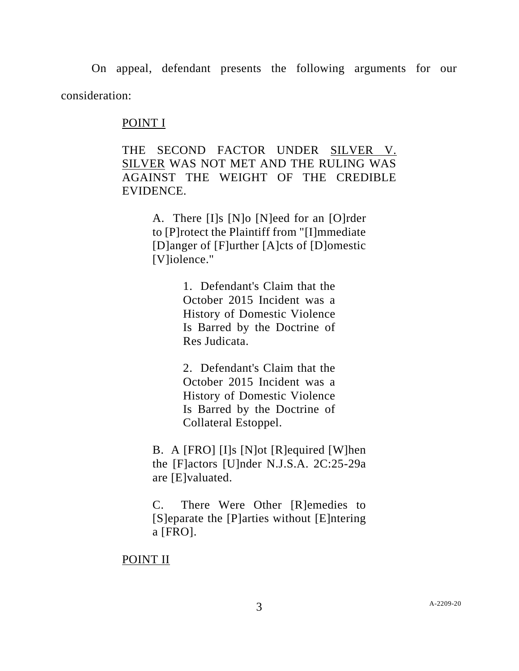On appeal, defendant presents the following arguments for our consideration:

## POINT I

THE SECOND FACTOR UNDER SILVER V. SILVER WAS NOT MET AND THE RULING WAS AGAINST THE WEIGHT OF THE CREDIBLE EVIDENCE.

> A. There [I]s [N]o [N]eed for an [O]rder to [P]rotect the Plaintiff from "[I]mmediate [D]anger of [F]urther [A]cts of [D]omestic [V]iolence."

> > 1. Defendant's Claim that the October 2015 Incident was a History of Domestic Violence Is Barred by the Doctrine of Res Judicata.

> > 2. Defendant's Claim that the October 2015 Incident was a History of Domestic Violence Is Barred by the Doctrine of Collateral Estoppel.

B. A [FRO] [I]s [N]ot [R]equired [W]hen the [F]actors [U]nder N.J.S.A. 2C:25-29a are [E]valuated.

C. There Were Other [R]emedies to [S]eparate the [P]arties without [E]ntering a [FRO].

## POINT II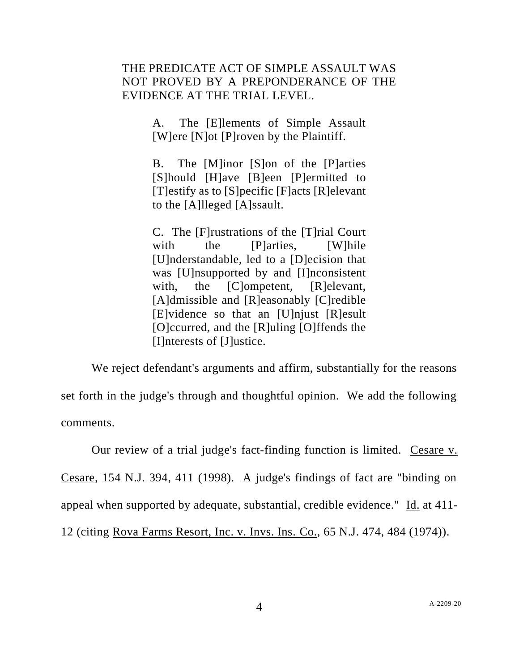## THE PREDICATE ACT OF SIMPLE ASSAULT WAS NOT PROVED BY A PREPONDERANCE OF THE EVIDENCE AT THE TRIAL LEVEL.

A. The [E]lements of Simple Assault [W]ere [N]ot [P]roven by the Plaintiff.

B. The [M]inor [S]on of the [P]arties [S]hould [H]ave [B]een [P]ermitted to [T]estify as to [S]pecific [F]acts [R]elevant to the [A]lleged [A]ssault.

C. The [F]rustrations of the [T]rial Court with the [P]arties, [W]hile [U]nderstandable, led to a [D]ecision that was [U]nsupported by and [I]nconsistent with, the [C]ompetent, [R]elevant, [A]dmissible and [R]easonably [C]redible [E]vidence so that an [U]njust [R]esult [O]ccurred, and the [R]uling [O]ffends the [I]nterests of [J]ustice.

We reject defendant's arguments and affirm, substantially for the reasons set forth in the judge's through and thoughtful opinion. We add the following comments.

Our review of a trial judge's fact-finding function is limited. Cesare v. Cesare, 154 N.J. 394, 411 (1998). A judge's findings of fact are "binding on appeal when supported by adequate, substantial, credible evidence." Id. at 411- 12 (citing Rova Farms Resort, Inc. v. Invs. Ins. Co., 65 N.J. 474, 484 (1974)).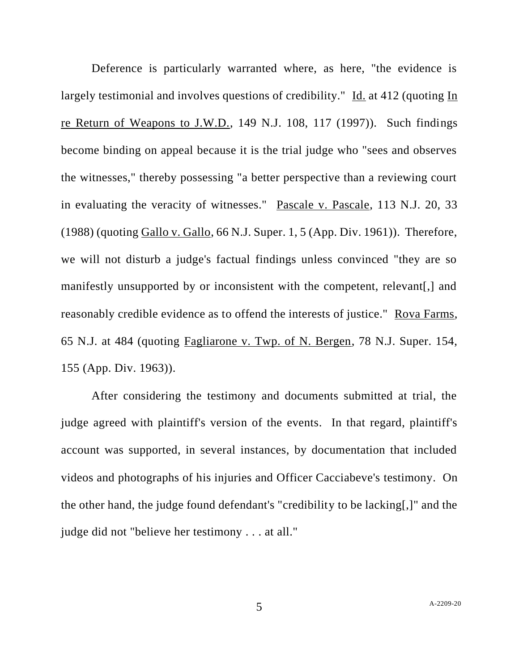Deference is particularly warranted where, as here, "the evidence is largely testimonial and involves questions of credibility." Id. at 412 (quoting In re Return of Weapons to J.W.D., 149 N.J. 108, 117 (1997)). Such findings become binding on appeal because it is the trial judge who "sees and observes the witnesses," thereby possessing "a better perspective than a reviewing court in evaluating the veracity of witnesses." Pascale v. Pascale, 113 N.J. 20, 33 (1988) (quoting Gallo v. Gallo, 66 N.J. Super. 1, 5 (App. Div. 1961)). Therefore, we will not disturb a judge's factual findings unless convinced "they are so manifestly unsupported by or inconsistent with the competent, relevant[,] and reasonably credible evidence as to offend the interests of justice." Rova Farms, 65 N.J. at 484 (quoting Fagliarone v. Twp. of N. Bergen, 78 N.J. Super. 154, 155 (App. Div. 1963)).

After considering the testimony and documents submitted at trial, the judge agreed with plaintiff's version of the events. In that regard, plaintiff's account was supported, in several instances, by documentation that included videos and photographs of his injuries and Officer Cacciabeve's testimony. On the other hand, the judge found defendant's "credibility to be lacking[,]" and the judge did not "believe her testimony . . . at all."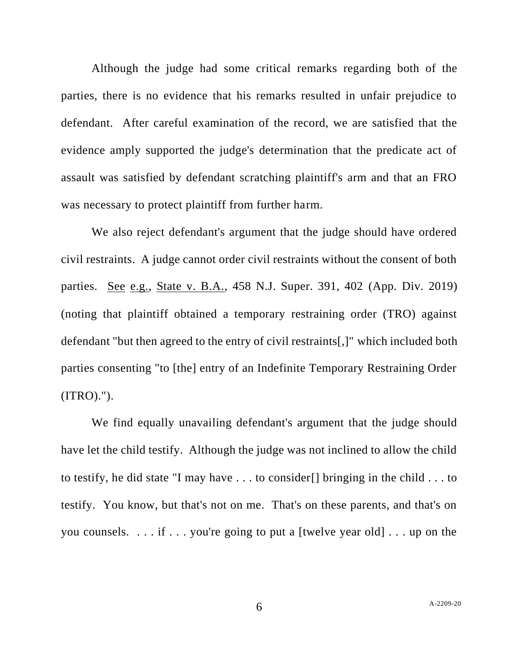Although the judge had some critical remarks regarding both of the parties, there is no evidence that his remarks resulted in unfair prejudice to defendant. After careful examination of the record, we are satisfied that the evidence amply supported the judge's determination that the predicate act of assault was satisfied by defendant scratching plaintiff's arm and that an FRO was necessary to protect plaintiff from further harm.

We also reject defendant's argument that the judge should have ordered civil restraints. A judge cannot order civil restraints without the consent of both parties. See e.g., State v. B.A., 458 N.J. Super. 391, 402 (App. Div. 2019) (noting that plaintiff obtained a temporary restraining order (TRO) against defendant "but then agreed to the entry of civil restraints[,]" which included both parties consenting "to [the] entry of an Indefinite Temporary Restraining Order  $(ITRO).")$ .

We find equally unavailing defendant's argument that the judge should have let the child testify. Although the judge was not inclined to allow the child to testify, he did state "I may have . . . to consider[] bringing in the child . . . to testify. You know, but that's not on me. That's on these parents, and that's on you counsels. . . . if . . . you're going to put a [twelve year old] . . . up on the